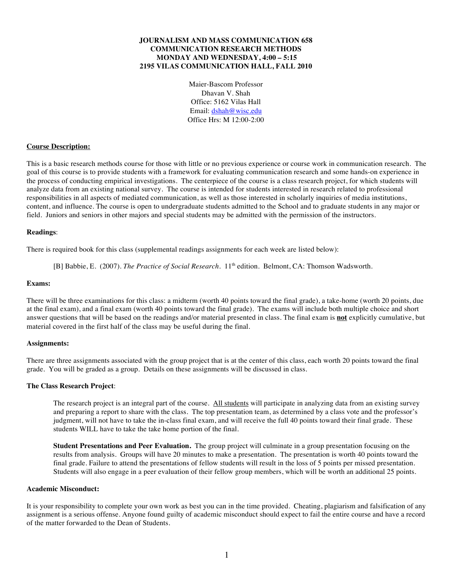## **JOURNALISM AND MASS COMMUNICATION 658 COMMUNICATION RESEARCH METHODS MONDAY AND WEDNESDAY, 4:00 – 5:15 2195 VILAS COMMUNICATION HALL, FALL 2010**

Maier-Bascom Professor Dhavan V. Shah Office: 5162 Vilas Hall Email: dshah@wisc.edu Office Hrs: M 12:00-2:00

## **Course Description:**

This is a basic research methods course for those with little or no previous experience or course work in communication research. The goal of this course is to provide students with a framework for evaluating communication research and some hands-on experience in the process of conducting empirical investigations. The centerpiece of the course is a class research project, for which students will analyze data from an existing national survey. The course is intended for students interested in research related to professional responsibilities in all aspects of mediated communication, as well as those interested in scholarly inquiries of media institutions, content, and influence. The course is open to undergraduate students admitted to the School and to graduate students in any major or field. Juniors and seniors in other majors and special students may be admitted with the permission of the instructors.

#### **Readings**:

There is required book for this class (supplemental readings assignments for each week are listed below):

[B] Babbie, E. (2007). *The Practice of Social Research*. 11<sup>th</sup> edition. Belmont, CA: Thomson Wadsworth.

#### **Exams:**

There will be three examinations for this class: a midterm (worth 40 points toward the final grade), a take-home (worth 20 points, due at the final exam), and a final exam (worth 40 points toward the final grade). The exams will include both multiple choice and short answer questions that will be based on the readings and/or material presented in class. The final exam is **not** explicitly cumulative, but material covered in the first half of the class may be useful during the final.

#### **Assignments:**

There are three assignments associated with the group project that is at the center of this class, each worth 20 points toward the final grade. You will be graded as a group. Details on these assignments will be discussed in class.

#### **The Class Research Project**:

The research project is an integral part of the course. All students will participate in analyzing data from an existing survey and preparing a report to share with the class. The top presentation team, as determined by a class vote and the professor's judgment, will not have to take the in-class final exam, and will receive the full 40 points toward their final grade. These students WILL have to take the take home portion of the final.

**Student Presentations and Peer Evaluation.** The group project will culminate in a group presentation focusing on the results from analysis. Groups will have 20 minutes to make a presentation. The presentation is worth 40 points toward the final grade. Failure to attend the presentations of fellow students will result in the loss of 5 points per missed presentation. Students will also engage in a peer evaluation of their fellow group members, which will be worth an additional 25 points.

### **Academic Misconduct:**

It is your responsibility to complete your own work as best you can in the time provided. Cheating, plagiarism and falsification of any assignment is a serious offense. Anyone found guilty of academic misconduct should expect to fail the entire course and have a record of the matter forwarded to the Dean of Students.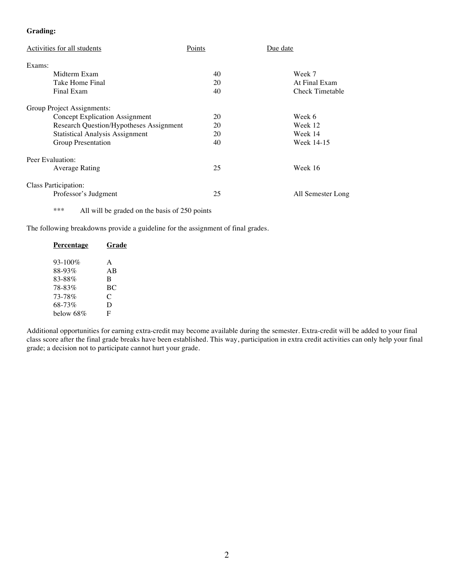## **Grading:**

| Activities for all students             | Points | Due date          |
|-----------------------------------------|--------|-------------------|
| Exams:                                  |        |                   |
| Midterm Exam                            | 40     | Week 7            |
| Take Home Final                         | 20     | At Final Exam     |
| Final Exam                              | 40     | Check Timetable   |
| Group Project Assignments:              |        |                   |
| <b>Concept Explication Assignment</b>   | 20     | Week 6            |
| Research Question/Hypotheses Assignment | 20     | Week 12           |
| <b>Statistical Analysis Assignment</b>  | 20     | Week 14           |
| Group Presentation                      | 40     | Week 14-15        |
| Peer Evaluation:                        |        |                   |
| Average Rating                          | 25     | Week 16           |
| Class Participation:                    |        |                   |
| Professor's Judgment                    | 25     | All Semester Long |

\*\*\* All will be graded on the basis of 250 points

The following breakdowns provide a guideline for the assignment of final grades.

| Percentage   | Grade |
|--------------|-------|
| $93 - 100\%$ | A     |
| 88-93%       | AB    |
| 83-88%       | B     |
| 78-83%       | BC.   |
| 73-78%       | C     |
| 68-73%       | D     |
| below 68%    | F     |
|              |       |

Additional opportunities for earning extra-credit may become available during the semester. Extra-credit will be added to your final class score after the final grade breaks have been established. This way, participation in extra credit activities can only help your final grade; a decision not to participate cannot hurt your grade.